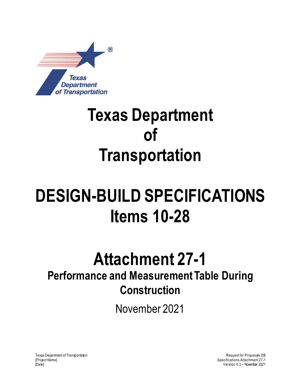

## **Texas Department of Transportation**

## **DESIGN-BUILD SPECIFICATIONS Items 10-28**

## **Attachment 27-1**

## **Performance and Measurement Table During Construction**

November 2021

Texas Department of Transportation [*Project Name*] [Date]

Request for Proposals DB Specifications Attachment 27-1 Version 4.3 – November 2021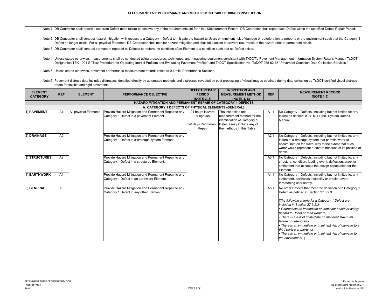Note 1. DB Contractor shall record a separate Defect upon failure to achieve any of the requirements set forth in a Measurement Record. DB Contractor shall repair each Defect within the specified Defect Repair Period.

Note 2. DB Contractor shall conduct hazard mitigation with respect to a Category 1 Defect to mitigate the hazard to Users or imminent risk of damage or deterioration to property or the environment such that the Category 1 Defect no longer exists. For all physical Elements, DB Contractor shall monitor hazard mitigation and shall take action to prevent recurrence of the hazard prior to permanent repair.

Note 3. DB Contractor shall conduct permanent repair of all Defects to restore the condition of an Element to a condition such that no Defect exists.

Note 4. Unless stated otherwise, measurements shall be conducted using procedures, techniques, and measuring equipment consistent with TxDOT's Pavement Management Information System Rater's Manual, TxDOT Designation TEX-1001-S "Test Procedure for Operating Inertial Profilers and Evaluating Pavement Profiles" and TxDOT Specification No. TxDOT 968-62-65 "Pavement Condition Data Collection Services."

Note 5. Unless stated otherwise, pavement performance measurement records relate to 0.1-mile Performance Sections.

Note 6. Pavement distress data includes distresses identified directly by automated methods and distresses revealed by post-processing of visual images obtained during data collection by TxDOT certified visual distress raters for flexible and rigid pavements.

| <b>ELEMENT</b>  |                                                      |                       |                                                                                                          | <b>DEFECT REPAIR</b>          | <b>INSPECTION AND</b>                                                            |                  | <b>MEASUREMENT RECORD</b>                                                                                                                                                                                                                                                                                                                                                                                                                                                                                                                          |  |  |  |  |
|-----------------|------------------------------------------------------|-----------------------|----------------------------------------------------------------------------------------------------------|-------------------------------|----------------------------------------------------------------------------------|------------------|----------------------------------------------------------------------------------------------------------------------------------------------------------------------------------------------------------------------------------------------------------------------------------------------------------------------------------------------------------------------------------------------------------------------------------------------------------------------------------------------------------------------------------------------------|--|--|--|--|
| <b>CATEGORY</b> | <b>REF</b>                                           | <b>ELEMENT</b>        | PERFORMANCE OBJECTIVE                                                                                    | <b>PERIOD</b>                 | <b>MEASUREMENT METHOD</b>                                                        | <b>REF</b>       |                                                                                                                                                                                                                                                                                                                                                                                                                                                                                                                                                    |  |  |  |  |
|                 |                                                      |                       |                                                                                                          | (NOTE 2, 3)                   | (NOTE 4, 6)                                                                      |                  | (NOTE 1,5)                                                                                                                                                                                                                                                                                                                                                                                                                                                                                                                                         |  |  |  |  |
|                 |                                                      |                       | <b>HAZARD MITIGATION AND PERMANENT REPAIR OF CATEGORY 1 DEFECTS</b>                                      |                               |                                                                                  |                  |                                                                                                                                                                                                                                                                                                                                                                                                                                                                                                                                                    |  |  |  |  |
|                 | A: CATEGORY 1 DEFECTS OF PHYSICAL ELEMENTS (GENERAL) |                       |                                                                                                          |                               |                                                                                  |                  |                                                                                                                                                                                                                                                                                                                                                                                                                                                                                                                                                    |  |  |  |  |
| 1) PAVEMENT     | A1                                                   | All physical Elements | Provide Hazard Mitigation and Permanent Repair to any<br>Category 1 Defect in a pavement Element.        | 24 hours Hazard<br>Mitigation | The inspection and<br>measurement method for the<br>identification of Category 1 | A1.1             | No Category 1 Defects, including but not limited to: any<br>failure as defined in TxDOT PMIS System Rater's<br>Manual.                                                                                                                                                                                                                                                                                                                                                                                                                             |  |  |  |  |
|                 |                                                      |                       |                                                                                                          | Repair                        | 28 days Permanent Defects may include any of<br>the methods in this Table.       |                  |                                                                                                                                                                                                                                                                                                                                                                                                                                                                                                                                                    |  |  |  |  |
| 2) DRAINAGE     | A2                                                   |                       | Provide Hazard Mitigation and Permanent Repair to any<br>Category 1 Defect in a drainage system Element. |                               |                                                                                  | A2.1             | No Category 1 Defects, including but not limited to: any<br>failure of a drainage system that permits water to<br>accumulate on the travel way to the extent that such<br>water would represent a hazard because of its position or<br>depth.                                                                                                                                                                                                                                                                                                      |  |  |  |  |
| 3) STRUCTURES   | A <sub>3</sub>                                       |                       | Provide Hazard Mitigation and Permanent Repair to any<br>Category 1 Defect in a structures Element.      |                               |                                                                                  | A3.1             | No Category 1 Defects, including but not limited to: any<br>structural condition, loading event, deflection, crack or<br>settlement that exceeds the design expectation for the<br>Element.                                                                                                                                                                                                                                                                                                                                                        |  |  |  |  |
| 4) EARTHWORK    | A4                                                   |                       | Provide Hazard Mitigation and Permanent Repair to any<br>Category 1 Defect in an earthwork Element.      |                               |                                                                                  | A4.1             | No Category 1 Defects, including but not limited to: any<br>settlement, earthwork instability or erosion event<br>threatening user safety.                                                                                                                                                                                                                                                                                                                                                                                                         |  |  |  |  |
| 5) GENERAL      | A <sub>5</sub>                                       |                       | Provide Hazard Mitigation and Permanent Repair to any<br>Category 1 Defect in any other Element.         |                               |                                                                                  | A <sub>5.1</sub> | No other Defects that meet the definition of a Category 1<br>Defect as defined in Section 27.3.2.3.<br>The following criteria for a Category 1 Defect are<br>included in Section 27.3.2.3:<br>Represents an immediate or imminent health or safety<br>hazard to Users or road workers:<br>• There is a risk of immediate or imminent structural<br>failure or deterioration;<br>• There is an immediate or imminent risk of damage to a<br>third party's property; or<br>• There is an immediate or imminent risk of damage to<br>the environment. |  |  |  |  |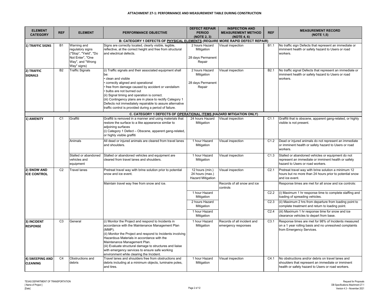| <b>ELEMENT</b><br><b>CATEGORY</b>  | <b>REF</b>     | <b>ELEMENT</b>                                                                                                  | PERFORMANCE OBJECTIVE                                                                                                                                                                                                                                                                                                                                                                                                                          | <b>DEFECT REPAIR</b><br><b>PERIOD</b>                          | <b>INSPECTION AND</b><br><b>MEASUREMENT METHOD</b> | <b>REF</b>       | <b>MEASUREMENT RECORD</b><br>(NOTE 1,5)                                                                                                                     |
|------------------------------------|----------------|-----------------------------------------------------------------------------------------------------------------|------------------------------------------------------------------------------------------------------------------------------------------------------------------------------------------------------------------------------------------------------------------------------------------------------------------------------------------------------------------------------------------------------------------------------------------------|----------------------------------------------------------------|----------------------------------------------------|------------------|-------------------------------------------------------------------------------------------------------------------------------------------------------------|
|                                    |                |                                                                                                                 |                                                                                                                                                                                                                                                                                                                                                                                                                                                | (NOTE 2, 3)                                                    | (NOTE 4, 6)                                        |                  |                                                                                                                                                             |
|                                    | <b>B1</b>      |                                                                                                                 | B: CATEGORY 1 DEFECTS OF PHYSICAL ELEMENTS (REQUIRE MORE RAPID DEFECT REPAIR)                                                                                                                                                                                                                                                                                                                                                                  |                                                                |                                                    |                  |                                                                                                                                                             |
| 1) TRAFFIC SIGNS                   |                | Warning and<br>regulatory signs<br>("Stop", "Yield", "Do<br>Not Enter", "One<br>Way", and "Wrong<br>Way" signs) | Signs are correctly located, clearly visible, legible,<br>reflective, at the correct height and free from structural<br>and electrical defects.                                                                                                                                                                                                                                                                                                | 2 hours Hazard<br>Mitigation<br>28 days Permanent<br>Repair    | Visual inspection                                  | B1.1             | No traffic sign Defects that represent an immediate or<br>imminent health or safety hazard to Users or road<br>workers.                                     |
| 2) TRAFFIC<br><b>SIGNALS</b>       | B2             | <b>Traffic Signals</b>                                                                                          | (i) Traffic signals and their associated equipment shall<br>be:<br>clean and visible<br>correctly aligned and operational<br>free from damage caused by accident or vandalism<br>bulbs are not burned out<br>(ii) Signal timing and operation is correct.<br>(iii) Contingency plans are in place to rectify Category 1<br>Defects not immediately repairable to assure alternative<br>traffic control is provided during a period of failure. | 2 hours Hazard<br>Mitigation<br>28 days Permanent<br>Repair    | Visual inspection                                  | B <sub>2.1</sub> | No traffic signal Defects that represent an immediate or<br>imminent health or safety hazard to Users or road<br>workers.                                   |
|                                    |                |                                                                                                                 | C. CATEGORY 1 DEFECTS OF OPERATIONAL ITEMS (HAZARD MITIGATION ONLY)                                                                                                                                                                                                                                                                                                                                                                            |                                                                |                                                    |                  |                                                                                                                                                             |
| 1) AMENITY                         | C <sub>1</sub> | Graffiti                                                                                                        | Graffiti is removed in a manner and using materials that<br>restore the surface to a like appearance similar to<br>adjoining surfaces<br>(i) Category 1 Defect - Obscene, apparent gang-related,<br>or highly visible graffiti                                                                                                                                                                                                                 | 24 hours Hazard<br>Mitigation                                  | Visual inspection                                  | C1.1             | Graffiti that is obscene, apparent gang-related, or highly<br>visible is not present.                                                                       |
|                                    |                | Animals                                                                                                         | All dead or injured animals are cleared from travel lanes<br>and shoulders.                                                                                                                                                                                                                                                                                                                                                                    | 1 hour Hazard<br>Mitigation                                    | Visual inspection                                  | C1.2             | Dead or injured animals do not represent an immediate<br>or imminent health or safety hazard to Users or road<br>workers.                                   |
|                                    |                | Stalled or abandoned<br>vehicles and<br>equipment                                                               | Stalled or abandoned vehicles and equipment are<br>cleared from travel lanes and shoulders.                                                                                                                                                                                                                                                                                                                                                    | 1 hour Hazard<br>Mitigation                                    | Visual inspection                                  | C1.3             | Stalled or abandoned vehicles or equipment do not<br>represent an immediate or imminent health or safety<br>hazard to Users or road workers.                |
| 2) SNOW AND<br><b>ICE CONTROL</b>  | C <sub>2</sub> | <b>Travel lanes</b>                                                                                             | Pretreat travel way with brine solution prior to potential<br>snow and ice event.                                                                                                                                                                                                                                                                                                                                                              | 12 hours (min.)<br>24 hours (max.)<br><b>Hazard Mitigation</b> | Visual inspection                                  | C <sub>2.1</sub> | Pretreat travel way with brine solution a minimum 12<br>hours but no more than 24 hours prior to potential snow<br>and ice event.                           |
|                                    |                |                                                                                                                 | Maintain travel way free from snow and ice.                                                                                                                                                                                                                                                                                                                                                                                                    |                                                                | Records of all snow and ice<br>controls            |                  | Response times are met for all snow and ice controls:                                                                                                       |
|                                    |                |                                                                                                                 |                                                                                                                                                                                                                                                                                                                                                                                                                                                | 1 hour Hazard<br>Mitigation                                    |                                                    | C <sub>2.2</sub> | (i) Maximum 1 hr response time to complete staffing and<br>loading of spreading vehicles.                                                                   |
|                                    |                |                                                                                                                 |                                                                                                                                                                                                                                                                                                                                                                                                                                                | 2 hours Hazard<br>Mitigation                                   |                                                    | C <sub>2.3</sub> | (ii) Maximum 2 hrs from departure from loading point to<br>complete treatment and return to loading point.                                                  |
|                                    |                |                                                                                                                 |                                                                                                                                                                                                                                                                                                                                                                                                                                                | 1 hour Hazard<br>Mitigation                                    |                                                    | C <sub>2.4</sub> | (iii) Maximum 1 hr response time for snow and ice<br>clearance vehicles to depart from base.                                                                |
| 3) INCIDENT<br><b>RESPONSE</b>     | C <sub>3</sub> | General                                                                                                         | (i) Monitor the Project and respond to Incidents in<br>accordance with the Maintenance Management Plan<br>(MMP).<br>(ii) Monitor the Project and respond to Incidents involving<br>Hazardous Materials in accordance with the<br>Maintenance Management Plan.<br>(iii) Evaluate structural damage to structures and liaise<br>with emergency services to ensure safe working<br>environment while clearing the Incident.                       | 1 hour Hazard<br>Mitigation                                    | Records of all incident and<br>emergency responses | C3.1             | Response times are met for 98% of Incidents measured<br>on a 1 year rolling basis and no unresolved complaints<br>from Emergency Services.                  |
| 4) SWEEPING AND<br><b>CLEANING</b> | C <sub>4</sub> | Obstructions and<br>debris                                                                                      | Travel lanes and shoulders free from obstructions and<br>debris including at a minimum objects, luminaire poles,<br>and tires.                                                                                                                                                                                                                                                                                                                 | 1 hour Hazard<br>Mitigation                                    | Visual inspection                                  | C4.1             | No obstructions and/or debris on travel lanes and<br>shoulders that represent an immediate or imminent<br>health or safety hazard to Users or road workers. |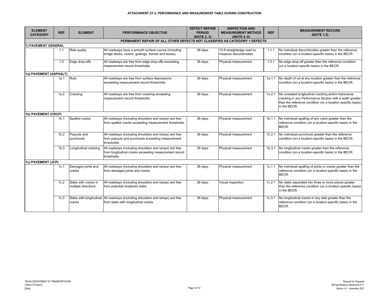| <b>ELEMENT</b><br><b>CATEGORY</b> | <b>REF</b>       | <b>ELEMENT</b>                              | <b>PERFORMANCE OBJECTIVE</b>                                                                                                  | <b>DEFECT REPAIR</b><br><b>PERIOD</b><br>(NOTE 2, 3) | <b>INSPECTION AND</b><br><b>MEASUREMENT METHOD</b><br>(NOTE 4, 6) | <b>REF</b> | <b>MEASUREMENT RECORD</b><br>(NOTE 1,5)                                                                                                                                                        |
|-----------------------------------|------------------|---------------------------------------------|-------------------------------------------------------------------------------------------------------------------------------|------------------------------------------------------|-------------------------------------------------------------------|------------|------------------------------------------------------------------------------------------------------------------------------------------------------------------------------------------------|
|                                   |                  |                                             | PERMANENT REPAIR OF ALL OTHER DEFECTS NOT CLASSIFIED AS CATEGORY 1 DEFECTS                                                    |                                                      |                                                                   |            |                                                                                                                                                                                                |
| 1) PAVEMENT GENERAL               |                  |                                             |                                                                                                                               |                                                      |                                                                   |            |                                                                                                                                                                                                |
|                                   | 1.1              | Ride quality                                | All roadways have a smooth surface course (including<br>bridge decks, covers, gratings, frames and boxes).                    | 28 days                                              | 10-ft straightedge used to<br>measure discontinuities             | 1.1.1      | No individual discontinuities greater than the reference<br>condition (on a location-specific basis) in the BECR.                                                                              |
|                                   | 1.2              | Edge drop-offs                              | All roadways are free from edge drop-offs exceeding<br>measurement record thresholds.                                         | 28 days                                              | Physical measurement                                              | 1.2.1      | No edge drop-off greater than the reference condition<br>(on a location-specific basis) in the BECR.                                                                                           |
| 1a) PAVEMENT (ASPHALT)            |                  |                                             |                                                                                                                               |                                                      |                                                                   |            |                                                                                                                                                                                                |
|                                   | 1a.1             | Ruts                                        | All roadways are free from surface depressions<br>exceeding measurement record thresholds.                                    | 28 days                                              | Physical measurement                                              | 1a.1.1     | No depth of rut at any location greater than the reference<br>condition (on a location-specific basis) in the BECR.                                                                            |
|                                   | 1a.2             | Cracking                                    | All roadways are free from cracking exceeding<br>measurement record thresholds.                                               | 28 days                                              | Physical measurement                                              | 1a.2.1     | No unsealed longitudinal cracking and/or transverse<br>cracking in any Performance Section with a width greater<br>than the reference condition (on a location-specific basis)<br>in the BECR. |
| 1b) PAVEMENT (CRCP)               |                  |                                             |                                                                                                                               |                                                      |                                                                   |            |                                                                                                                                                                                                |
|                                   | 1 <sub>b.1</sub> | Spalled cracks                              | All roadways (including shoulders and ramps) are free<br>from spalled cracks exceeding measurement thresholds.                | 28 days                                              | Physical measurement                                              | 1b.1.1     | No individual spalling of any crack greater than the<br>reference condition (on a location-specific basis) in the<br>BECR.                                                                     |
|                                   | 1 <sub>b.2</sub> | Popouts and<br>punchouts                    | All roadways (including shoulders and ramps) are free<br>from popouts and punchouts exceeding measurement<br>thresholds.      | 28 days                                              | Physical measurement                                              | 1b.2.1     | No individual punchouts greater than the reference<br>condition (on a location-specific basis) in the BECR.                                                                                    |
|                                   | 1 <sub>b.3</sub> | Longitudinal cracking                       | All roadways (including shoulders and ramps) are free<br>from longitudinal cracks exceeding measurement record<br>thresholds. | 28 days                                              | Physical measurement                                              | 1b.3.1     | No longitudinal cracks greater than the reference<br>condition (on a location-specific basis) in the BECR.                                                                                     |
| 1c) PAVEMENT (JCP)                |                  |                                             |                                                                                                                               |                                                      |                                                                   |            |                                                                                                                                                                                                |
|                                   | 1c.1             | Damaged joints and<br>cracks                | All roadways (including shoulders and ramps) are free<br>from damaged joints and cracks.                                      | 28 days                                              | Physical measurement                                              | 1c.1.1     | No individual spalling of joints or cracks greater than the<br>reference condition (on a location-specific basis) in the<br>BECR.                                                              |
|                                   | 1c.2             | Slabs with cracks in<br>multiple directions | All roadways (including shoulders and ramps) are free<br>from potential shattered slabs.                                      | 28 days                                              | Visual inspection                                                 | 1c.2.1     | No slabs separated into three or more pieces greater<br>than the reference condition (on a location-specific basis)<br>in the BECR.                                                            |
|                                   | 1c.3             | cracks                                      | Slabs with longitudinal All roadways (including shoulders and ramps) are free<br>from slabs with longitudinal cracks.         | 28 days                                              | Physical measurement                                              | 1c.3.1     | No longitudinal cracks in any slab greater than the<br>reference condition (on a location-specific basis) in the<br>BECR.                                                                      |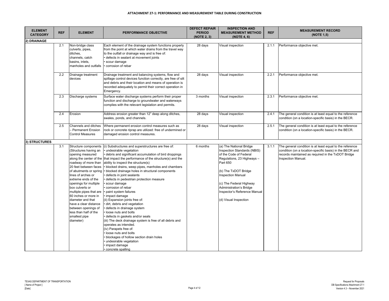| <b>ELEMENT</b><br><b>CATEGORY</b> | <b>REF</b> | <b>ELEMENT</b>                                                                                                                                                                                                                                                                                                                                                                                                                                  | <b>PERFORMANCE OBJECTIVE</b>                                                                                                                                                                                                                                                                                                                                                                                                                                                                                                                                                                                                                                                                                                                                                                                                                                                                                                 | <b>DEFECT REPAIR</b><br><b>PERIOD</b><br>(NOTE 2, 3) | <b>INSPECTION AND</b><br><b>MEASUREMENT METHOD</b><br>(NOTE 4, 6)                                                                                                                                                                                                                                    | <b>REF</b> | <b>MEASUREMENT RECORD</b><br>(NOTE 1,5)                                                                                                                                                          |
|-----------------------------------|------------|-------------------------------------------------------------------------------------------------------------------------------------------------------------------------------------------------------------------------------------------------------------------------------------------------------------------------------------------------------------------------------------------------------------------------------------------------|------------------------------------------------------------------------------------------------------------------------------------------------------------------------------------------------------------------------------------------------------------------------------------------------------------------------------------------------------------------------------------------------------------------------------------------------------------------------------------------------------------------------------------------------------------------------------------------------------------------------------------------------------------------------------------------------------------------------------------------------------------------------------------------------------------------------------------------------------------------------------------------------------------------------------|------------------------------------------------------|------------------------------------------------------------------------------------------------------------------------------------------------------------------------------------------------------------------------------------------------------------------------------------------------------|------------|--------------------------------------------------------------------------------------------------------------------------------------------------------------------------------------------------|
| 2) DRAINAGE                       |            |                                                                                                                                                                                                                                                                                                                                                                                                                                                 |                                                                                                                                                                                                                                                                                                                                                                                                                                                                                                                                                                                                                                                                                                                                                                                                                                                                                                                              |                                                      |                                                                                                                                                                                                                                                                                                      |            |                                                                                                                                                                                                  |
|                                   | 2.1        | Non-bridge class<br>culverts, pipes,<br>ditches,<br>channels, catch<br>basins, inlets,<br>manholes and outfalls                                                                                                                                                                                                                                                                                                                                 | Each element of the drainage system functions properly<br>from the point at which water drains from the travel way<br>to the outfall or drainage way and is free of:<br>defects in sealant at movement joints<br>scour damage<br>corrosion of rebar                                                                                                                                                                                                                                                                                                                                                                                                                                                                                                                                                                                                                                                                          | 28 days                                              | Visual inspection                                                                                                                                                                                                                                                                                    | 2.1.1      | Performance objective met.                                                                                                                                                                       |
|                                   | 2.2        | Drainage treatment<br>devices                                                                                                                                                                                                                                                                                                                                                                                                                   | Drainage treatment and balancing systems, flow and<br>spillage control devices function correctly, are free of silt<br>and debris and their location and means of operation is<br>recorded adequately to permit their correct operation in<br>Emergency.                                                                                                                                                                                                                                                                                                                                                                                                                                                                                                                                                                                                                                                                     | 28 days                                              | Visual inspection                                                                                                                                                                                                                                                                                    | 2.2.1      | Performance objective met.                                                                                                                                                                       |
|                                   | 2.3        | Discharge systems                                                                                                                                                                                                                                                                                                                                                                                                                               | Surface water discharge systems perform their proper<br>function and discharge to groundwater and waterways<br>complies with the relevant legislation and permits.                                                                                                                                                                                                                                                                                                                                                                                                                                                                                                                                                                                                                                                                                                                                                           | 3 months                                             | Visual inspection                                                                                                                                                                                                                                                                                    | 2.3.1      | Performance objective met.                                                                                                                                                                       |
|                                   | 2.4        | Erosion                                                                                                                                                                                                                                                                                                                                                                                                                                         | Address erosion greater than 12" deep along ditches,<br>swales, ponds, and channels.                                                                                                                                                                                                                                                                                                                                                                                                                                                                                                                                                                                                                                                                                                                                                                                                                                         | 28 days                                              | Visual inspection                                                                                                                                                                                                                                                                                    | 2.4.1      | The general condition is at least equal to the reference<br>condition (on a location-specific basis) in the BECR.                                                                                |
|                                   | 2.5        | Channels and ditches<br>Permanent Erosion<br><b>Control Measures</b>                                                                                                                                                                                                                                                                                                                                                                            | Where permanent erosion control measures such as<br>rock or concrete riprap are utilized: free of undermined or<br>damaged erosion control measures.                                                                                                                                                                                                                                                                                                                                                                                                                                                                                                                                                                                                                                                                                                                                                                         | 28 days                                              | Visual inspection                                                                                                                                                                                                                                                                                    | 2.5.1      | The general condition is at least equal to the reference<br>condition (on a location-specific basis) in the BECR.                                                                                |
| 3) STRUCTURES                     |            |                                                                                                                                                                                                                                                                                                                                                                                                                                                 |                                                                                                                                                                                                                                                                                                                                                                                                                                                                                                                                                                                                                                                                                                                                                                                                                                                                                                                              |                                                      |                                                                                                                                                                                                                                                                                                      |            |                                                                                                                                                                                                  |
|                                   | 3.1        | Structure components<br>(Structures having an<br>opening measured<br>along the center of the<br>roadway of more than<br>20 feet between faces<br>of abutments or spring<br>lines of arches or<br>extreme ends of the<br>openings for multiple<br>box culverts or<br>multiple pipes that are<br>60 inches or more in<br>diameter and that<br>have a clear distance<br>between openings of<br>less than half of the<br>smallest pipe<br>diameter) | (i) Substructures and superstructures are free of:<br>· undesirable vegetation<br>debris and significant accumulation of bird droppings<br>that impact the performance of the structure(s) and the<br>ability to inspect the structure(s)<br>• blocked drains, weep pipes, manholes and chambers<br>• blocked drainage holes in structural components<br>defects in joint sealants<br>defects in pedestrian protection measure<br>scour damage<br>corrosion of rebar<br>paint system failures<br>impact damage<br>(ii) Expansion joints free of:<br>dirt, debris and vegetation<br>defects in drainage system<br>loose nuts and bolts<br>defects in gaskets and/or seals<br>(iii) The deck drainage system is free of all debris and<br>operates as intended.<br>(iv) Parapets free of:<br>loose nuts and bolts<br>blockages of hollow section drain holes<br>undesirable vegetation<br>impact damage<br>· concrete spalling | 6 months                                             | (a) The National Bridge<br>Inspection Standards (NBIS)<br>of the Code of Federal<br>Regulations, 23 Highways -<br><b>Part 650</b><br>(b) The TxDOT Bridge<br><b>Inspection Manual</b><br>(c) The Federal Highway<br>Administration's Bridge<br>Inspector's Reference Manual<br>(d) Visual Inspection | 3.1.1      | The general condition is at least equal to the reference<br>condition (on a location-specific basis) in the BECR and<br>records maintained as required in the TxDOT Bridge<br>Inspection Manual. |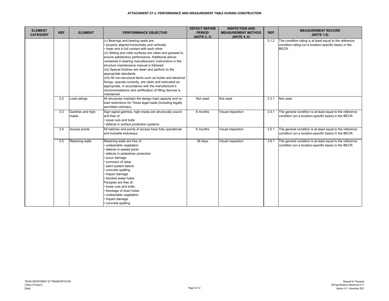| <b>ELEMENT</b>  | <b>REF</b> | <b>ELEMENT</b>              | <b>PERFORMANCE OBJECTIVE</b>                                                                                                                                                                                                                                                                                                                                                                                                                                                                                                                                                                                                                                                                             | <b>DEFECT REPAIR</b><br><b>PERIOD</b> | <b>INSPECTION AND</b><br><b>MEASUREMENT METHOD</b> | <b>REF</b> | <b>MEASUREMENT RECORD</b>                                                                                                  |
|-----------------|------------|-----------------------------|----------------------------------------------------------------------------------------------------------------------------------------------------------------------------------------------------------------------------------------------------------------------------------------------------------------------------------------------------------------------------------------------------------------------------------------------------------------------------------------------------------------------------------------------------------------------------------------------------------------------------------------------------------------------------------------------------------|---------------------------------------|----------------------------------------------------|------------|----------------------------------------------------------------------------------------------------------------------------|
| <b>CATEGORY</b> |            |                             |                                                                                                                                                                                                                                                                                                                                                                                                                                                                                                                                                                                                                                                                                                          | (NOTE 2, 3)                           | (NOTE 4, 6)                                        |            | (NOTE 1,5)                                                                                                                 |
|                 |            |                             | (v) Bearings and bearing seats are:<br>properly aligned horizontally and vertically<br>clean and in full contact with each other<br>(vi) Sliding and roller surfaces are clean and greased to<br>ensure satisfactory performance. Additional advice<br>contained in bearing manufacturers' instructions in the<br>structure maintenance manual is followed.<br>(vii) Special finishes are clean and perform to the<br>appropriate standards.<br>(viii) All non-structural items such as hoists and electrical<br>fixings, operate correctly, are clean and lubricated as<br>appropriate, in accordance with the manufacturer's<br>recommendations and certification of lifting devices is<br>maintained. |                                       |                                                    | 3.1.2      | The condition rating is at least equal to the reference<br>condition rating (on a location-specific basis) in the<br>BECR. |
|                 | 3.2        | Load ratings                | All structures maintain the design load capacity and no<br>load restrictions for Texas legal loads (including legally<br>permitted vehicles).                                                                                                                                                                                                                                                                                                                                                                                                                                                                                                                                                            | Not used                              | Not used                                           | 3.3.1      | Not used                                                                                                                   |
|                 | 3.3        | Gantries and high-<br>masts | Sign signal gantries, high-masts are structurally sound<br>and free of:<br>· loose nuts and bolts<br>defects in surface protection systems                                                                                                                                                                                                                                                                                                                                                                                                                                                                                                                                                               | 6 months                              | Visual inspection                                  | 3.4.1      | The general condition is at least equal to the reference<br>condition (on a location-specific basis) in the BECR.          |
|                 | 3.4        | Access points               | All hatches and points of access have fully operational<br>and lockable entryways.                                                                                                                                                                                                                                                                                                                                                                                                                                                                                                                                                                                                                       | 6 months                              | Visual inspection                                  | 3.5.1      | The general condition is at least equal to the reference<br>condition (on a location-specific basis) in the BECR.          |
|                 | 3.5        | <b>Retaining walls</b>      | Retaining walls are free of:<br>undesirable vegetation<br>defects in sealed joints<br>defects in pedestrian protection<br>scour damage<br>corrosion of rebar<br>paint system failure<br>concrete spalling<br>impact damage<br>blocked weep holes<br>Parapets are free of:<br>· loose nuts and bolts<br>blockage of drain holes<br>undesirable vegetation<br>impact damage<br>concrete spalling                                                                                                                                                                                                                                                                                                           | 28 days                               | Visual inspection                                  | 3.6.1      | The general condition is at least equal to the reference<br>condition (on a location-specific basis) in the BECR.          |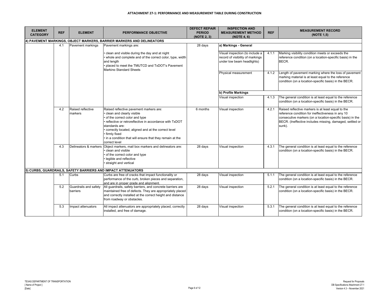| <b>ELEMENT</b>  |            |                                   |                                                                                                                                                                                                                                                                                                                                        | <b>DEFECT REPAIR</b> | <b>INSPECTION AND</b>                                                                             |            | <b>MEASUREMENT RECORD</b>                                                                                                                                                                                                                  |
|-----------------|------------|-----------------------------------|----------------------------------------------------------------------------------------------------------------------------------------------------------------------------------------------------------------------------------------------------------------------------------------------------------------------------------------|----------------------|---------------------------------------------------------------------------------------------------|------------|--------------------------------------------------------------------------------------------------------------------------------------------------------------------------------------------------------------------------------------------|
| <b>CATEGORY</b> | <b>REF</b> | <b>ELEMENT</b>                    | PERFORMANCE OBJECTIVE                                                                                                                                                                                                                                                                                                                  | <b>PERIOD</b>        | <b>MEASUREMENT METHOD</b>                                                                         | <b>REF</b> | (NOTE 1.5)                                                                                                                                                                                                                                 |
|                 |            |                                   | 4) PAVEMENT MARKINGS, OBJECT MARKERS, BARRIER MARKERS AND DELINEATORS                                                                                                                                                                                                                                                                  | (NOTE 2, 3)          | (NOTE 4, 6)                                                                                       |            |                                                                                                                                                                                                                                            |
|                 | 4.1        | Pavement markings                 | Pavement markings are:                                                                                                                                                                                                                                                                                                                 | 28 days              | a) Markings - General                                                                             |            |                                                                                                                                                                                                                                            |
|                 |            |                                   |                                                                                                                                                                                                                                                                                                                                        |                      |                                                                                                   |            |                                                                                                                                                                                                                                            |
|                 |            |                                   | clean and visible during the day and at night<br>whole and complete and of the correct color, type, width<br>and length<br>placed to meet the TMUTCD and TxDOT's Pavement<br>Marking Standard Sheets                                                                                                                                   |                      | Visual inspection (to include a<br>record of visibility of markings<br>under low beam headlights) | 4.1.1      | Marking visibility condition meets or exceeds the<br>reference condition (on a location-specific basis) in the<br>BECR.                                                                                                                    |
|                 |            |                                   |                                                                                                                                                                                                                                                                                                                                        |                      | Physical measurement                                                                              | 4.1.2      | Length of pavement marking where the loss of pavement<br>marking material is at least equal to the reference<br>condition (on a location-specific basis) in the BECR.                                                                      |
|                 |            |                                   |                                                                                                                                                                                                                                                                                                                                        |                      | b) Profile Markings                                                                               |            |                                                                                                                                                                                                                                            |
|                 |            |                                   |                                                                                                                                                                                                                                                                                                                                        |                      | Visual inspection                                                                                 | 4.1.3      | The general condition is at least equal to the reference<br>condition (on a location-specific basis) in the BECR.                                                                                                                          |
|                 | 4.2        | Raised reflective<br>markers      | Raised reflective pavement markers are:<br>clean and clearly visible<br>of the correct color and type<br>reflective or retroreflective in accordance with TxDOT<br>standards are:<br>correctly located, aligned and at the correct level<br>firmly fixed<br>. in a condition that will ensure that they remain at the<br>correct level | 6 months             | Visual inspection                                                                                 | 4.2.1      | Raised reflective markers is at least equal to the<br>reference condition for ineffectiveness in any 10<br>consecutive markers (on a location-specific basis) in the<br>BECR. (Ineffective includes missing, damaged, settled or<br>sunk). |
|                 | 4.3        | Delineators & markers             | Object markers, mail box markers and delineators are:<br>clean and visible<br>of the correct color and type<br>legible and reflective<br>straight and vertical                                                                                                                                                                         | 28 days              | Visual inspection                                                                                 | 4.3.1      | The general condition is at least equal to the reference<br>condition (on a location-specific basis) in the BECR.                                                                                                                          |
|                 |            |                                   | 5) CURBS, GUARDRAILS, SAFETY BARRIERS AND IMPACT ATTENUATORS                                                                                                                                                                                                                                                                           |                      |                                                                                                   |            |                                                                                                                                                                                                                                            |
|                 | 5.1        | Curbs                             | Curbs are free of cracks that impact functionality or<br>performance of the curb, broken pieces and separation,<br>and are in proper grade and alignment.                                                                                                                                                                              | 28 days              | Visual inspection                                                                                 | 5.1.1      | The general condition is at least equal to the reference<br>condition (on a location-specific basis) in the BECR.                                                                                                                          |
|                 | 5.2        | Guardrails and safety<br>barriers | All guardrails, safety barriers, and concrete barriers are<br>maintained free of defects. They are appropriately placed<br>and correctly installed at the correct height and distance<br>from roadway or obstacles.                                                                                                                    | 28 days              | Visual inspection                                                                                 | 5.2.1      | The general condition is at least equal to the reference<br>condition (on a location-specific basis) in the BECR.                                                                                                                          |
|                 | 5.3        | Impact attenuators                | All impact attenuators are appropriately placed, correctly<br>installed, and free of damage.                                                                                                                                                                                                                                           | 28 days              | Visual inspection                                                                                 | 5.3.1      | The general condition is at least equal to the reference<br>condition (on a location-specific basis) in the BECR.                                                                                                                          |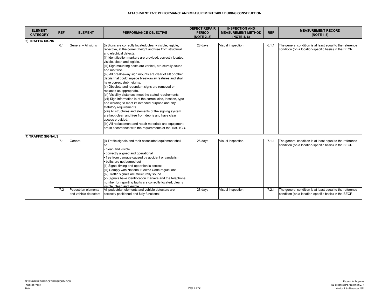| <b>ELEMENT</b><br><b>CATEGORY</b> | <b>REF</b> | <b>ELEMENT</b>                               | PERFORMANCE OBJECTIVE                                                                                                                                                                                                                                                                                                                                                                                                                                                                                                                                                                                                                                                                                                                                                                                                                                                                                                                                                                                                                         | <b>DEFECT REPAIR</b><br><b>PERIOD</b><br>(NOTE 2, 3) | <b>INSPECTION AND</b><br><b>MEASUREMENT METHOD</b><br>(NOTE 4, 6) | <b>REF</b> | <b>MEASUREMENT RECORD</b><br>(NOTE 1,5)                                                                           |
|-----------------------------------|------------|----------------------------------------------|-----------------------------------------------------------------------------------------------------------------------------------------------------------------------------------------------------------------------------------------------------------------------------------------------------------------------------------------------------------------------------------------------------------------------------------------------------------------------------------------------------------------------------------------------------------------------------------------------------------------------------------------------------------------------------------------------------------------------------------------------------------------------------------------------------------------------------------------------------------------------------------------------------------------------------------------------------------------------------------------------------------------------------------------------|------------------------------------------------------|-------------------------------------------------------------------|------------|-------------------------------------------------------------------------------------------------------------------|
| 6) TRAFFIC SIGNS                  |            |                                              |                                                                                                                                                                                                                                                                                                                                                                                                                                                                                                                                                                                                                                                                                                                                                                                                                                                                                                                                                                                                                                               |                                                      |                                                                   |            |                                                                                                                   |
|                                   | 6.1        | General - All signs                          | (i) Signs are correctly located, clearly visible, legible,<br>reflective, at the correct height and free from structural<br>and electrical defects.<br>(ii) Identification markers are provided, correctly located,<br>visible, clean and legible.<br>(iii) Sign mounting posts are vertical, structurally sound<br>and rust free.<br>(iv) All break-away sign mounts are clear of silt or other<br>debris that could impede break-away features and shall<br>have correct stub heights.<br>(v) Obsolete and redundant signs are removed or<br>replaced as appropriate.<br>(vi) Visibility distances meet the stated requirements.<br>(vii) Sign information is of the correct size, location, type<br>and wording to meet its intended purpose and any<br>statutory requirements.<br>(viii) All structures and elements of the signing system<br>are kept clean and free from debris and have clear<br>access provided.<br>(ix) All replacement and repair materials and equipment<br>are in accordance with the requirements of the TMUTCD. | 28 days                                              | Visual inspection                                                 | 6.1.1      | The general condition is at least equal to the reference<br>condition (on a location-specific basis) in the BECR. |
| 7) TRAFFIC SIGNALS                |            |                                              |                                                                                                                                                                                                                                                                                                                                                                                                                                                                                                                                                                                                                                                                                                                                                                                                                                                                                                                                                                                                                                               |                                                      |                                                                   |            |                                                                                                                   |
|                                   | 7.1        | General                                      | (i) Traffic signals and their associated equipment shall<br>be:<br>clean and visible<br>correctly aligned and operational<br>free from damage caused by accident or vandalism<br>bulbs are not burned out<br>(ii) Signal timing and operation is correct.<br>(iii) Comply with National Electric Code regulations.<br>(iv) Traffic signals are structurally sound.<br>(v) Signals have identification markers and the telephone<br>number for reporting faults are correctly located, clearly<br>visible, clean and legible.                                                                                                                                                                                                                                                                                                                                                                                                                                                                                                                  | 28 days                                              | Visual inspection                                                 | 7.1.1      | The general condition is at least equal to the reference<br>condition (on a location-specific basis) in the BECR. |
|                                   | 7.2        | Pedestrian elements<br>and vehicle detectors | All pedestrian elements and vehicle detectors are<br>correctly positioned and fully functional.                                                                                                                                                                                                                                                                                                                                                                                                                                                                                                                                                                                                                                                                                                                                                                                                                                                                                                                                               | 28 days                                              | Visual inspection                                                 | 7.2.1      | The general condition is at least equal to the reference<br>condition (on a location-specific basis) in the BECR. |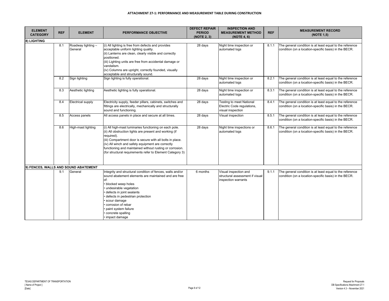| <b>ELEMENT</b>  |            |                                      |                                                                                                                                                                                                                                                                                                                                                                            | <b>DEFECT REPAIR</b>         | <b>INSPECTION AND</b>                                                           |            | <b>MEASUREMENT RECORD</b>                                                                                         |
|-----------------|------------|--------------------------------------|----------------------------------------------------------------------------------------------------------------------------------------------------------------------------------------------------------------------------------------------------------------------------------------------------------------------------------------------------------------------------|------------------------------|---------------------------------------------------------------------------------|------------|-------------------------------------------------------------------------------------------------------------------|
| <b>CATEGORY</b> | <b>REF</b> | <b>ELEMENT</b>                       | <b>PERFORMANCE OBJECTIVE</b>                                                                                                                                                                                                                                                                                                                                               | <b>PERIOD</b><br>(NOTE 2, 3) | <b>MEASUREMENT METHOD</b><br>(NOTE 4, 6)                                        | <b>REF</b> | (NOTE 1,5)                                                                                                        |
| 8) LIGHTING     |            |                                      |                                                                                                                                                                                                                                                                                                                                                                            |                              |                                                                                 |            |                                                                                                                   |
|                 | 8.1        | Roadway lighting -<br>General        | (i) All lighting is free from defects and provides<br>acceptable uniform lighting quality.<br>(ii) Lanterns are clean, clearly visible and correctly<br>positioned.<br>(iii) Lighting units are free from accidental damage or<br>vandalism.<br>(iv) Columns are upright, correctly founded, visually<br>acceptable and structurally sound.                                | 28 days                      | Night time inspection or<br>automated logs                                      | 8.1.1      | The general condition is at least equal to the reference<br>condition (on a location-specific basis) in the BECR. |
|                 | 8.2        | Sign lighting                        | Sign lighting is fully operational.                                                                                                                                                                                                                                                                                                                                        | 28 days                      | Night time inspection or<br>automated logs                                      | 8.2.1      | The general condition is at least equal to the reference<br>condition (on a location-specific basis) in the BECR. |
|                 | 8.3        | Aesthetic lighting                   | Aesthetic lighting is fully operational.                                                                                                                                                                                                                                                                                                                                   | 28 days                      | Night time inspection or<br>automated logs                                      | 8.3.1      | The general condition is at least equal to the reference<br>condition (on a location-specific basis) in the BECR. |
|                 | 8.4        | <b>Electrical supply</b>             | Electricity supply, feeder pillars, cabinets, switches and<br>fittings are electrically, mechanically and structurally<br>sound and functioning.                                                                                                                                                                                                                           | 28 days                      | Testing to meet National<br>Electric Code regulations,<br>visual inspection     | 8.4.1      | The general condition is at least equal to the reference<br>condition (on a location-specific basis) in the BECR. |
|                 | 8.5        | Access panels                        | All access panels in place and secure at all times.                                                                                                                                                                                                                                                                                                                        | 28 days                      | Visual inspection                                                               | 8.5.1      | The general condition is at least equal to the reference<br>condition (on a location-specific basis) in the BECR. |
|                 | 8.6        | High-mast lighting                   | (i) All high-mast luminaries functioning on each pole.<br>(ii) All obstruction lights are present and working (if<br>required).<br>(iii) Compartment door is secure with all bolts in place.<br>(iv) All winch and safety equipment are correctly<br>functioning and maintained without rusting or corrosion.<br>(for structural requirements refer to Element Category 3) | 28 days                      | Night time inspections or<br>automated logs                                     | 8.6.1      | The general condition is at least equal to the reference<br>condition (on a location-specific basis) in the BECR. |
|                 |            | 9) FENCES, WALLS AND SOUND ABATEMENT |                                                                                                                                                                                                                                                                                                                                                                            |                              |                                                                                 |            |                                                                                                                   |
|                 | 9.1        | General                              | Integrity and structural condition of fences, walls and/or<br>sound abatement elements are maintained and are free<br>of:<br>blocked weep holes<br>undesirable vegetation<br>defects in joint sealants<br>defects in pedestrian protection<br>scour damage<br>corrosion of rebar<br>paint system failure<br>concrete spalling<br>impact damage                             | 6 months                     | Visual inspection and<br>structural assessment if visual<br>inspection warrants | 9.1.1      | The general condition is at least equal to the reference<br>condition (on a location-specific basis) in the BECR. |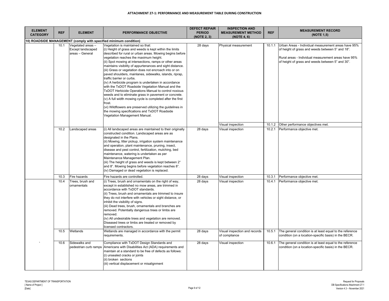| <b>ELEMENT</b><br><b>CATEGORY</b> | <b>REF</b> | <b>ELEMENT</b>                                                   | PERFORMANCE OBJECTIVE                                                                                                                                                                                                                                                                                                                                                                                                                                                                                                                                                                                                                                                                                                                                                                                                                                                                                                             | <b>DEFECT REPAIR</b><br><b>PERIOD</b><br>(NOTE 2, 3) | <b>INSPECTION AND</b><br><b>MEASUREMENT METHOD</b><br>(NOTE 4, 6) | <b>REF</b>       | <b>MEASUREMENT RECORD</b><br>(NOTE 1,5)                                                                                                                                                                            |
|-----------------------------------|------------|------------------------------------------------------------------|-----------------------------------------------------------------------------------------------------------------------------------------------------------------------------------------------------------------------------------------------------------------------------------------------------------------------------------------------------------------------------------------------------------------------------------------------------------------------------------------------------------------------------------------------------------------------------------------------------------------------------------------------------------------------------------------------------------------------------------------------------------------------------------------------------------------------------------------------------------------------------------------------------------------------------------|------------------------------------------------------|-------------------------------------------------------------------|------------------|--------------------------------------------------------------------------------------------------------------------------------------------------------------------------------------------------------------------|
|                                   |            |                                                                  | 10) ROADSIDE MANAGEMENT (comply with specified minimum condition)                                                                                                                                                                                                                                                                                                                                                                                                                                                                                                                                                                                                                                                                                                                                                                                                                                                                 |                                                      |                                                                   |                  |                                                                                                                                                                                                                    |
|                                   | 10.1       | Vegetated areas -<br><b>Except landscaped</b><br>areas - General | Vegetation is maintained so that:<br>(i) Height of grass and weeds is kept within the limits<br>described for rural or urban areas. Mowing begins before<br>vegetation reaches the maximum height.<br>(ii) Spot mowing at intersections, ramps or other areas<br>maintains visibility of appurtenances and sight distance.<br>(iii) Grass or vegetation does not encroach into or on<br>paved shoulders, mainlanes, sidewalks, islands, riprap,<br>traffic barrier or curbs.<br>(iv) A herbicide program is undertaken in accordance<br>with the TxDOT Roadside Vegetation Manual and the<br>TxDOT Herbicide Operations Manual to control noxious<br>weeds and to eliminate grass in pavement or concrete.<br>(v) A full width mowing cycle is completed after the first<br>frost.<br>(vi) Wildflowers are preserved utilizing the guidelines in<br>the mowing specifications and TxDOT Roadside<br>Vegetation Management Manual. | 28 days                                              | Physical measurement                                              | 10.1.1           | Urban Areas - Individual measurement areas have 95%<br>of height of grass and weeds between 5" and 18".<br>Rural areas - Individual measurement areas have 95%<br>of height of grass and weeds between 5" and 30". |
|                                   | 10.2       | Landscaped areas                                                 | (i) All landscaped areas are maintained to their originally<br>constructed condition. Landscaped areas are as<br>designated in the Plans.<br>(ii) Mowing, litter pickup, irrigation system maintenance<br>and operation, plant maintenance, pruning, insect,<br>disease and pest control, fertilization, mulching, bed<br>maintenance, watering is undertaken as per<br>Maintenance Management Plan.<br>(iii) The height of grass and weeds is kept between 2"<br>and 8". Mowing begins before vegetation reaches 8".<br>(iv) Damaged or dead vegetation is replaced.                                                                                                                                                                                                                                                                                                                                                             | 28 days                                              | Visual inspection<br>Visual inspection                            | 10.1.2<br>10.2.1 | Other performance objectives met.<br>Performance objective met.                                                                                                                                                    |
|                                   | 10.3       | Fire hazards                                                     | Fire hazards are controlled.                                                                                                                                                                                                                                                                                                                                                                                                                                                                                                                                                                                                                                                                                                                                                                                                                                                                                                      | 28 days                                              | Visual inspection                                                 | 10.3.1           | Performance objective met.                                                                                                                                                                                         |
|                                   | 10.4       | Trees, brush and<br>ornamentals                                  | (i) Trees, brush and ornamentals on the right of way,<br>except in established no mow areas, are trimmed in<br>accordance with TxDOT standards.<br>(ii) Trees, brush and ornamentals are trimmed to insure<br>they do not interfere with vehicles or sight distance, or<br>inhibit the visibility of signs.<br>(iii) Dead trees, brush, ornamentals and branches are<br>removed. Potentially dangerous trees or limbs are<br>removed.<br>(iv) All undesirable trees and vegetation are removed.<br>Diseased trees or limbs are treated or removed by<br>icensed contractors.                                                                                                                                                                                                                                                                                                                                                      | 28 days                                              | Visual inspection                                                 | 10.4.1           | Performance objective met.                                                                                                                                                                                         |
|                                   | 10.5       | Wetlands                                                         | Wetlands are managed in accordance with the permit<br>requirements.                                                                                                                                                                                                                                                                                                                                                                                                                                                                                                                                                                                                                                                                                                                                                                                                                                                               | 28 days                                              | Visual inspection and records<br>of compliance                    | 10.5.1           | The general condition is at least equal to the reference<br>condition (on a location-specific basis) in the BECR.                                                                                                  |
|                                   | 10.6       | Sidewalks and<br>pedestrian curb ramps                           | Compliance with TxDOT Design Standards and<br>Americans with Disabilities Act (ADA) requirements and<br>maintain at a standard to be free of defects as follows:<br>(i) unsealed cracks or joints<br>(ii) broken sections<br>(iii) vertical displacement or misalignment                                                                                                                                                                                                                                                                                                                                                                                                                                                                                                                                                                                                                                                          | 28 days                                              | Visual inspection                                                 | 10.6.1           | The general condition is at least equal to the reference<br>condition (on a location-specific basis) in the BECR.                                                                                                  |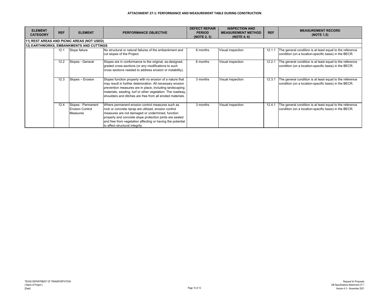| <b>ELEMENT</b>  | <b>REF</b> | <b>ELEMENT</b>                                                  | <b>PERFORMANCE OBJECTIVE</b>                                                                                                                                                                                                                                                                                               | <b>DEFECT REPAIR</b><br><b>PERIOD</b> | <b>INSPECTION AND</b><br><b>MEASUREMENT METHOD</b> | <b>REF</b> | <b>MEASUREMENT RECORD</b>                                                                                         |
|-----------------|------------|-----------------------------------------------------------------|----------------------------------------------------------------------------------------------------------------------------------------------------------------------------------------------------------------------------------------------------------------------------------------------------------------------------|---------------------------------------|----------------------------------------------------|------------|-------------------------------------------------------------------------------------------------------------------|
| <b>CATEGORY</b> |            |                                                                 |                                                                                                                                                                                                                                                                                                                            | (NOTE 2, 3)                           | (NOTE 4.6)                                         |            | (NOTE 1,5)                                                                                                        |
|                 |            | 11) REST AREAS AND PICNIC AREAS (NOT USED)                      |                                                                                                                                                                                                                                                                                                                            |                                       |                                                    |            |                                                                                                                   |
|                 |            | <b>12) EARTHWORKS, EMBANKMENTS AND CUTTINGS</b>                 |                                                                                                                                                                                                                                                                                                                            |                                       |                                                    |            |                                                                                                                   |
|                 | 12.1       | Slope failure                                                   | No structural or natural failures of the embankment and<br>cut slopes of the Project.                                                                                                                                                                                                                                      | 6 months                              | Visual inspection                                  | 12.1.1     | The general condition is at least equal to the reference<br>condition (on a location-specific basis) in the BECR. |
|                 | 12.2       | Slopes - General                                                | Slopes are in conformance to the original, as-designed,<br>graded cross-sections (or any modifications to such<br>cross sections needed to address erosion or instability).                                                                                                                                                | 6 months                              | Visual inspection                                  | 12.2.1     | The general condition is at least equal to the reference<br>condition (on a location-specific basis) in the BECR. |
|                 | 12.3       | Slopes - Erosion                                                | Slopes function properly with no erosion of a nature that<br>may result in further deterioration. All necessary erosion<br>prevention measures are in place, including landscaping<br>materials, seeding, turf or other vegetation. The roadway,<br>shoulders and ditches are free from all eroded materials.              | 3 months                              | Visual inspection                                  | 12.3.1     | The general condition is at least equal to the reference<br>condition (on a location-specific basis) in the BECR. |
|                 | 12.4       | Slopes - Permanent<br><b>Erosion Control</b><br><b>Measures</b> | Where permanent erosion control measures such as<br>rock or concrete riprap are utilized, erosion control<br>measures are not damaged or undermined, function<br>properly and concrete slope protection joints are sealed<br>and free from vegetation affecting or having the potential<br>to affect structural integrity. | 3 months                              | Visual inspection                                  | 12.4.1     | The general condition is at least equal to the reference<br>condition (on a location-specific basis) in the BECR. |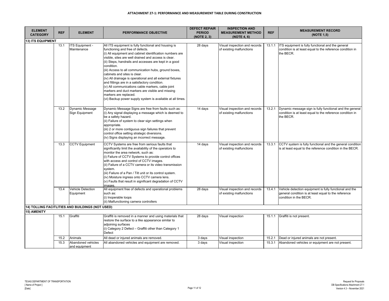| <b>ELEMENT</b>           |            |                                                  |                                                                                                                                                                                                                                                                                                                                                                                                                                                                                                                                                                                                                                                                                             | <b>DEFECT REPAIR</b>         | <b>INSPECTION AND</b>                                     |            | <b>MEASUREMENT RECORD</b>                                                                                                                 |
|--------------------------|------------|--------------------------------------------------|---------------------------------------------------------------------------------------------------------------------------------------------------------------------------------------------------------------------------------------------------------------------------------------------------------------------------------------------------------------------------------------------------------------------------------------------------------------------------------------------------------------------------------------------------------------------------------------------------------------------------------------------------------------------------------------------|------------------------------|-----------------------------------------------------------|------------|-------------------------------------------------------------------------------------------------------------------------------------------|
| <b>CATEGORY</b>          | <b>REF</b> | <b>ELEMENT</b>                                   | PERFORMANCE OBJECTIVE                                                                                                                                                                                                                                                                                                                                                                                                                                                                                                                                                                                                                                                                       | <b>PERIOD</b><br>(NOTE 2, 3) | <b>MEASUREMENT METHOD</b><br>(NOTE 4, 6)                  | <b>REF</b> | (NOTE 1,5)                                                                                                                                |
| <b>13) ITS EQUIPMENT</b> |            |                                                  |                                                                                                                                                                                                                                                                                                                                                                                                                                                                                                                                                                                                                                                                                             |                              |                                                           |            |                                                                                                                                           |
|                          | 13.1       | ITS Equipment -<br>Maintenance                   | All ITS equipment is fully functional and housing is<br>functioning and free of defects.<br>(i) All equipment and cabinet identification numbers are<br>visible, sites are well drained and access is clear.<br>(ii) Steps, handrails and accesses are kept in a good<br>condition.<br>(iii) Access to all communication hubs, ground boxes,<br>cabinets and sites is clear.<br>(iv) All drainage is operational and all external fixtures<br>and fittings are in a satisfactory condition.<br>(v) All communications cable markers, cable joint<br>markers and duct markers are visible and missing<br>markers are replaced.<br>(vi) Backup power supply system is available at all times. | 28 days                      | Visual inspection and records<br>of existing malfunctions | 13.1.1     | ITS equipment is fully functional and the general<br>condition is at least equal to the reference condition in<br>the BECR.               |
|                          | 13.2       | Dynamic Message<br>Sign Equipment                | Dynamic Message Signs are free from faults such as:<br>(i) Any signal displaying a message which is deemed to<br>be a safety hazard.<br>(ii) Failure of system to clear sign settings when<br>appropriate.<br>(iii) 2 or more contiguous sign failures that prevent<br>control office setting strategic diversions.<br>(iv) Signs displaying an incorrect message.                                                                                                                                                                                                                                                                                                                          | 14 days                      | Visual inspection and records<br>of existing malfunctions | 13.2.1     | Dynamic message sign is fully functional and the general<br>condition is at least equal to the reference condition in<br>the BECR.        |
|                          | 13.3       | <b>CCTV Equipment</b>                            | CCTV Systems are free from serious faults that<br>significantly limit the availability of the operators to<br>monitor the area network, such as:<br>(i) Failure of CCTV Systems to provide control offices<br>with access and control of CCTV images.<br>(ii) Failure of a CCTV camera or its video transmission<br>system.<br>(iii) Failure of a Pan / Tilt unit or its control system.<br>(iv) Moisture ingress onto CCTV camera lens.<br>(v) Faults that result in significant degradation of CCTV<br>images.                                                                                                                                                                            | 14 days                      | Visual inspection and records<br>of existing malfunctions | 13.3.1     | CCTV system is fully functional and the general condition<br>is at least equal to the reference condition in the BECR.                    |
|                          | 13.4       | <b>Vehicle Detection</b><br>Equipment            | All equipment free of defects and operational problems<br>such as:<br>(i) Inoperable loops<br>(ii) Malfunctioning camera controllers                                                                                                                                                                                                                                                                                                                                                                                                                                                                                                                                                        | 28 days                      | Visual inspection and records<br>of existing malfunctions | 13.4.1     | Vehicle detection equipment is fully functional and the<br>general condition is at least equal to the reference<br>condition in the BECR. |
|                          |            | 14) TOLLING FACITLITIES AND BUILDINGS (NOT USED) |                                                                                                                                                                                                                                                                                                                                                                                                                                                                                                                                                                                                                                                                                             |                              |                                                           |            |                                                                                                                                           |
| 15) AMENITY              |            |                                                  |                                                                                                                                                                                                                                                                                                                                                                                                                                                                                                                                                                                                                                                                                             |                              |                                                           |            |                                                                                                                                           |
|                          | 15.1       | Graffiti                                         | Graffiti is removed in a manner and using materials that<br>restore the surface to a like appearance similar to<br>adjoining surfaces<br>(i) Category 2 Defect - Graffiti other than Category 1<br>Defect                                                                                                                                                                                                                                                                                                                                                                                                                                                                                   | 28 days                      | Visual inspection                                         | 15.1.1     | Graffiti is not present.                                                                                                                  |
|                          | 15.2       | Animals                                          | All dead or injured animals are removed.                                                                                                                                                                                                                                                                                                                                                                                                                                                                                                                                                                                                                                                    | 3 days                       | Visual inspection                                         | 15.2.1     | Dead or injured animals are not present.                                                                                                  |
|                          | 15.3       | Abandoned vehicles<br>and equipment              | All abandoned vehicles and equipment are removed.                                                                                                                                                                                                                                                                                                                                                                                                                                                                                                                                                                                                                                           | 3 days                       | Visual inspection                                         | 15.3.1     | Abandoned vehicles or equipment are not present.                                                                                          |